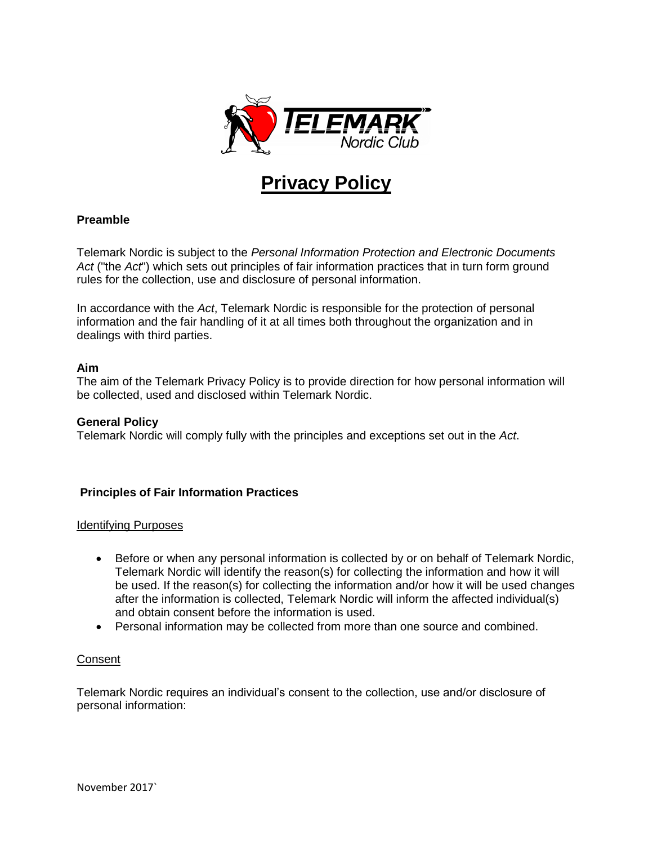

# **Privacy Policy**

## **Preamble**

Telemark Nordic is subject to the *Personal Information Protection and Electronic Documents Act* ("the *Act*") which sets out principles of fair information practices that in turn form ground rules for the collection, use and disclosure of personal information.

In accordance with the *Act*, Telemark Nordic is responsible for the protection of personal information and the fair handling of it at all times both throughout the organization and in dealings with third parties.

## **Aim**

The aim of the Telemark Privacy Policy is to provide direction for how personal information will be collected, used and disclosed within Telemark Nordic.

#### **General Policy**

Telemark Nordic will comply fully with the principles and exceptions set out in the *Act*.

## **Principles of Fair Information Practices**

#### Identifying Purposes

- Before or when any personal information is collected by or on behalf of Telemark Nordic, Telemark Nordic will identify the reason(s) for collecting the information and how it will be used. If the reason(s) for collecting the information and/or how it will be used changes after the information is collected, Telemark Nordic will inform the affected individual(s) and obtain consent before the information is used.
- Personal information may be collected from more than one source and combined.

## **Consent**

Telemark Nordic requires an individual's consent to the collection, use and/or disclosure of personal information: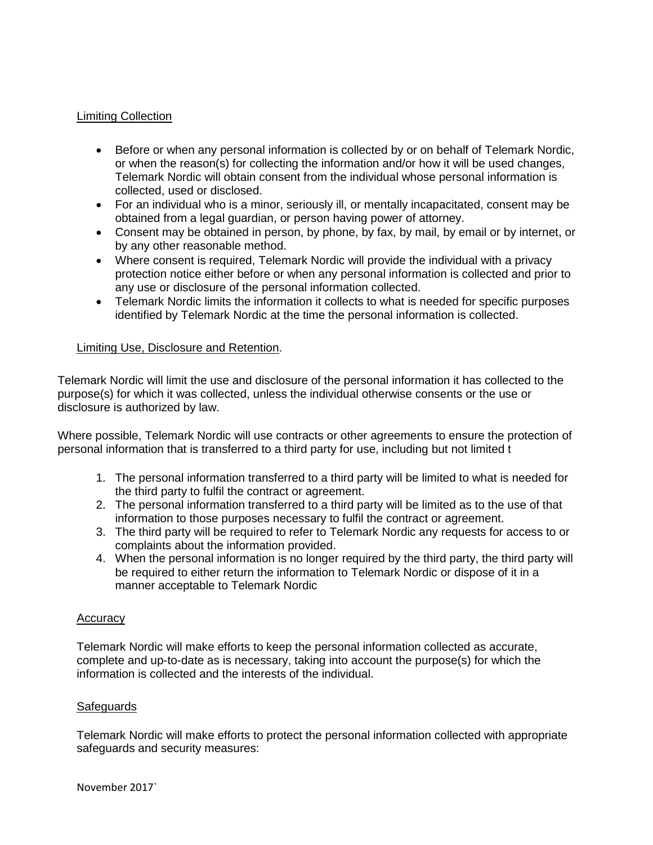## Limiting Collection

- Before or when any personal information is collected by or on behalf of Telemark Nordic, or when the reason(s) for collecting the information and/or how it will be used changes, Telemark Nordic will obtain consent from the individual whose personal information is collected, used or disclosed.
- For an individual who is a minor, seriously ill, or mentally incapacitated, consent may be obtained from a legal guardian, or person having power of attorney.
- Consent may be obtained in person, by phone, by fax, by mail, by email or by internet, or by any other reasonable method.
- Where consent is required, Telemark Nordic will provide the individual with a privacy protection notice either before or when any personal information is collected and prior to any use or disclosure of the personal information collected.
- Telemark Nordic limits the information it collects to what is needed for specific purposes identified by Telemark Nordic at the time the personal information is collected.

## Limiting Use, Disclosure and Retention.

Telemark Nordic will limit the use and disclosure of the personal information it has collected to the purpose(s) for which it was collected, unless the individual otherwise consents or the use or disclosure is authorized by law.

Where possible, Telemark Nordic will use contracts or other agreements to ensure the protection of personal information that is transferred to a third party for use, including but not limited t

- 1. The personal information transferred to a third party will be limited to what is needed for the third party to fulfil the contract or agreement.
- 2. The personal information transferred to a third party will be limited as to the use of that information to those purposes necessary to fulfil the contract or agreement.
- 3. The third party will be required to refer to Telemark Nordic any requests for access to or complaints about the information provided.
- 4. When the personal information is no longer required by the third party, the third party will be required to either return the information to Telemark Nordic or dispose of it in a manner acceptable to Telemark Nordic

#### **Accuracy**

Telemark Nordic will make efforts to keep the personal information collected as accurate, complete and up-to-date as is necessary, taking into account the purpose(s) for which the information is collected and the interests of the individual.

#### **Safeguards**

Telemark Nordic will make efforts to protect the personal information collected with appropriate safeguards and security measures: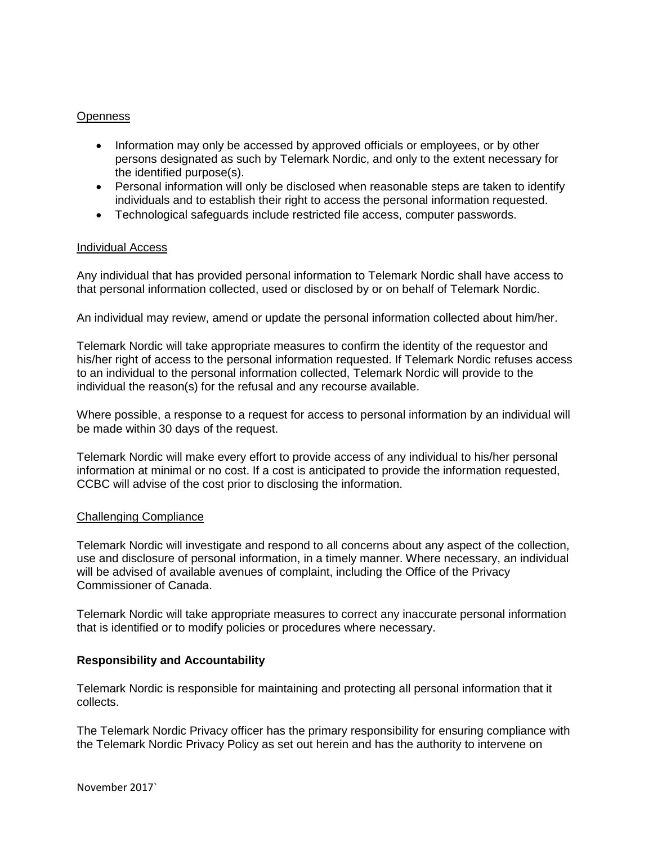### **Openness**

- Information may only be accessed by approved officials or employees, or by other persons designated as such by Telemark Nordic, and only to the extent necessary for the identified purpose(s).
- Personal information will only be disclosed when reasonable steps are taken to identify individuals and to establish their right to access the personal information requested.
- Technological safeguards include restricted file access, computer passwords.

#### Individual Access

Any individual that has provided personal information to Telemark Nordic shall have access to that personal information collected, used or disclosed by or on behalf of Telemark Nordic.

An individual may review, amend or update the personal information collected about him/her.

Telemark Nordic will take appropriate measures to confirm the identity of the requestor and his/her right of access to the personal information requested. If Telemark Nordic refuses access to an individual to the personal information collected, Telemark Nordic will provide to the individual the reason(s) for the refusal and any recourse available.

Where possible, a response to a request for access to personal information by an individual will be made within 30 days of the request.

Telemark Nordic will make every effort to provide access of any individual to his/her personal information at minimal or no cost. If a cost is anticipated to provide the information requested, CCBC will advise of the cost prior to disclosing the information.

#### Challenging Compliance

Telemark Nordic will investigate and respond to all concerns about any aspect of the collection, use and disclosure of personal information, in a timely manner. Where necessary, an individual will be advised of available avenues of complaint, including the Office of the Privacy Commissioner of Canada.

Telemark Nordic will take appropriate measures to correct any inaccurate personal information that is identified or to modify policies or procedures where necessary.

#### **Responsibility and Accountability**

Telemark Nordic is responsible for maintaining and protecting all personal information that it collects.

The Telemark Nordic Privacy officer has the primary responsibility for ensuring compliance with the Telemark Nordic Privacy Policy as set out herein and has the authority to intervene on